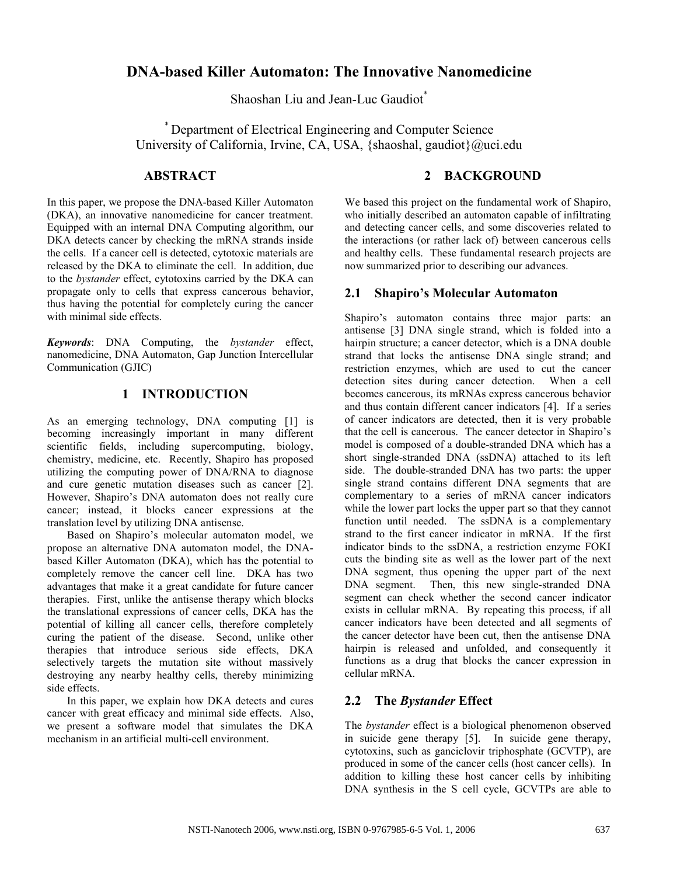# DNA-based Killer Automaton: The Innovative Nanomedicine

Shaoshan Liu and Jean-Luc Gaudiot\*

\* Department of Electrical Engineering and Computer Science University of California, Irvine, CA, USA, {shaoshal, gaudiot}@uci.edu

## ABSTRACT

In this paper, we propose the DNA-based Killer Automaton (DKA), an innovative nanomedicine for cancer treatment. Equipped with an internal DNA Computing algorithm, our DKA detects cancer by checking the mRNA strands inside the cells. If a cancer cell is detected, cytotoxic materials are released by the DKA to eliminate the cell. In addition, due to the bystander effect, cytotoxins carried by the DKA can propagate only to cells that express cancerous behavior, thus having the potential for completely curing the cancer with minimal side effects.

Keywords: DNA Computing, the bystander effect, nanomedicine, DNA Automaton, Gap Junction Intercellular Communication (GJIC)

## 1 INTRODUCTION

As an emerging technology, DNA computing [1] is becoming increasingly important in many different scientific fields, including supercomputing, biology, chemistry, medicine, etc. Recently, Shapiro has proposed utilizing the computing power of DNA/RNA to diagnose and cure genetic mutation diseases such as cancer [2]. However, Shapiro's DNA automaton does not really cure cancer; instead, it blocks cancer expressions at the translation level by utilizing DNA antisense.

Based on Shapiro's molecular automaton model, we propose an alternative DNA automaton model, the DNAbased Killer Automaton (DKA), which has the potential to completely remove the cancer cell line. DKA has two advantages that make it a great candidate for future cancer therapies. First, unlike the antisense therapy which blocks the translational expressions of cancer cells, DKA has the potential of killing all cancer cells, therefore completely curing the patient of the disease. Second, unlike other therapies that introduce serious side effects, DKA selectively targets the mutation site without massively destroying any nearby healthy cells, thereby minimizing side effects.

In this paper, we explain how DKA detects and cures cancer with great efficacy and minimal side effects. Also, we present a software model that simulates the DKA mechanism in an artificial multi-cell environment.

## 2 BACKGROUND

We based this project on the fundamental work of Shapiro, who initially described an automaton capable of infiltrating and detecting cancer cells, and some discoveries related to the interactions (or rather lack of) between cancerous cells and healthy cells. These fundamental research projects are now summarized prior to describing our advances.

## 2.1 Shapiro's Molecular Automaton

Shapiro's automaton contains three major parts: an antisense [3] DNA single strand, which is folded into a hairpin structure; a cancer detector, which is a DNA double strand that locks the antisense DNA single strand; and restriction enzymes, which are used to cut the cancer detection sites during cancer detection. When a cell becomes cancerous, its mRNAs express cancerous behavior and thus contain different cancer indicators [4]. If a series of cancer indicators are detected, then it is very probable that the cell is cancerous. The cancer detector in Shapiro's model is composed of a double-stranded DNA which has a short single-stranded DNA (ssDNA) attached to its left side. The double-stranded DNA has two parts: the upper single strand contains different DNA segments that are complementary to a series of mRNA cancer indicators while the lower part locks the upper part so that they cannot function until needed. The ssDNA is a complementary strand to the first cancer indicator in mRNA. If the first indicator binds to the ssDNA, a restriction enzyme FOKI cuts the binding site as well as the lower part of the next DNA segment, thus opening the upper part of the next DNA segment. Then, this new single-stranded DNA segment can check whether the second cancer indicator exists in cellular mRNA. By repeating this process, if all cancer indicators have been detected and all segments of the cancer detector have been cut, then the antisense DNA hairpin is released and unfolded, and consequently it functions as a drug that blocks the cancer expression in cellular mRNA.

## 2.2 The Bystander Effect

The bystander effect is a biological phenomenon observed in suicide gene therapy [5]. In suicide gene therapy, cytotoxins, such as ganciclovir triphosphate (GCVTP), are produced in some of the cancer cells (host cancer cells). In addition to killing these host cancer cells by inhibiting DNA synthesis in the S cell cycle, GCVTPs are able to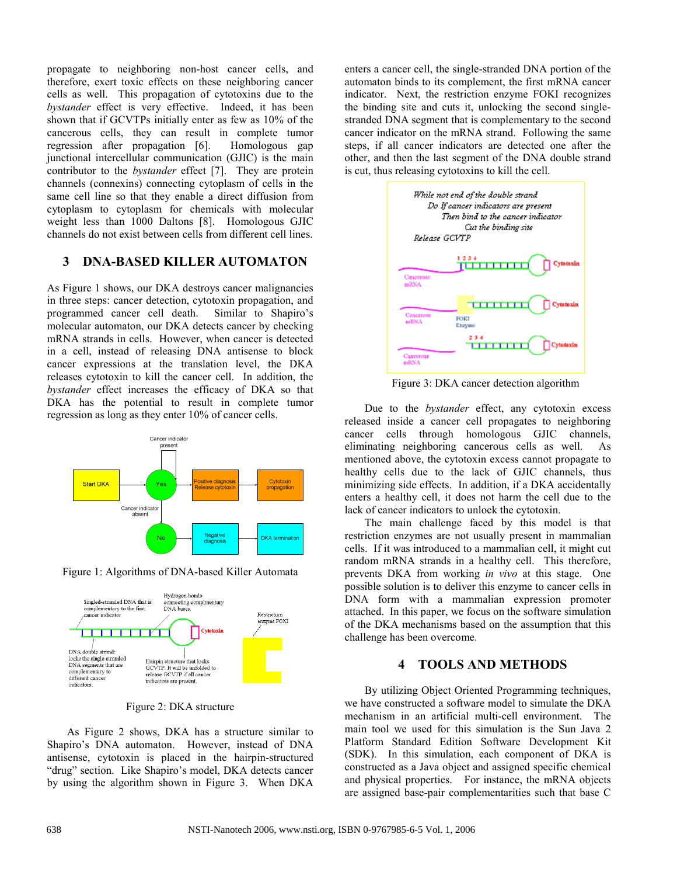propagate to neighboring non-host cancer cells, and therefore, exert toxic effects on these neighboring cancer cells as well. This propagation of cytotoxins due to the bystander effect is very effective. Indeed, it has been shown that if GCVTPs initially enter as few as 10% of the cancerous cells, they can result in complete tumor regression after propagation [6]. Homologous gap junctional intercellular communication (GJIC) is the main contributor to the *bystander* effect [7]. They are protein channels (connexins) connecting cytoplasm of cells in the same cell line so that they enable a direct diffusion from cytoplasm to cytoplasm for chemicals with molecular weight less than 1000 Daltons [8]. Homologous GJIC channels do not exist between cells from different cell lines.

#### 3 DNA-BASED KILLER AUTOMATON

As Figure 1 shows, our DKA destroys cancer malignancies in three steps: cancer detection, cytotoxin propagation, and programmed cancer cell death. Similar to Shapiro's molecular automaton, our DKA detects cancer by checking mRNA strands in cells. However, when cancer is detected in a cell, instead of releasing DNA antisense to block cancer expressions at the translation level, the DKA releases cytotoxin to kill the cancer cell. In addition, the bystander effect increases the efficacy of DKA so that DKA has the potential to result in complete tumor regression as long as they enter 10% of cancer cells.



Figure 1: Algorithms of DNA-based Killer Automata



Figure 2: DKA structure

As Figure 2 shows, DKA has a structure similar to Shapiro's DNA automaton. However, instead of DNA antisense, cytotoxin is placed in the hairpin-structured "drug" section. Like Shapiro's model, DKA detects cancer by using the algorithm shown in Figure 3. When DKA

enters a cancer cell, the single-stranded DNA portion of the automaton binds to its complement, the first mRNA cancer indicator. Next, the restriction enzyme FOKI recognizes the binding site and cuts it, unlocking the second singlestranded DNA segment that is complementary to the second cancer indicator on the mRNA strand. Following the same steps, if all cancer indicators are detected one after the other, and then the last segment of the DNA double strand is cut, thus releasing cytotoxins to kill the cell.



Figure 3: DKA cancer detection algorithm

Due to the bystander effect, any cytotoxin excess released inside a cancer cell propagates to neighboring cancer cells through homologous GJIC channels, eliminating neighboring cancerous cells as well. As mentioned above, the cytotoxin excess cannot propagate to healthy cells due to the lack of GJIC channels, thus minimizing side effects. In addition, if a DKA accidentally enters a healthy cell, it does not harm the cell due to the lack of cancer indicators to unlock the cytotoxin.

The main challenge faced by this model is that restriction enzymes are not usually present in mammalian cells. If it was introduced to a mammalian cell, it might cut random mRNA strands in a healthy cell. This therefore, prevents DKA from working in vivo at this stage. One possible solution is to deliver this enzyme to cancer cells in DNA form with a mammalian expression promoter attached. In this paper, we focus on the software simulation of the DKA mechanisms based on the assumption that this challenge has been overcome.

## 4 TOOLS AND METHODS

By utilizing Object Oriented Programming techniques, we have constructed a software model to simulate the DKA mechanism in an artificial multi-cell environment. The main tool we used for this simulation is the Sun Java 2 Platform Standard Edition Software Development Kit (SDK). In this simulation, each component of DKA is constructed as a Java object and assigned specific chemical and physical properties. For instance, the mRNA objects are assigned base-pair complementarities such that base C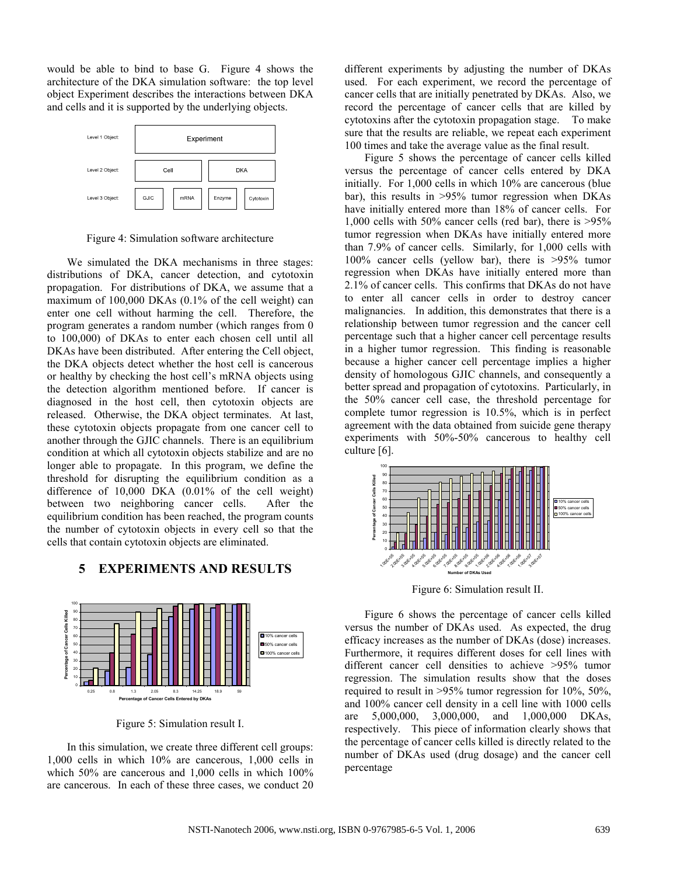would be able to bind to base G. Figure 4 shows the architecture of the DKA simulation software: the top level object Experiment describes the interactions between DKA and cells and it is supported by the underlying objects.



Figure 4: Simulation software architecture

We simulated the DKA mechanisms in three stages: distributions of DKA, cancer detection, and cytotoxin propagation. For distributions of DKA, we assume that a maximum of 100,000 DKAs (0.1% of the cell weight) can enter one cell without harming the cell. Therefore, the program generates a random number (which ranges from 0 to 100,000) of DKAs to enter each chosen cell until all DKAs have been distributed. After entering the Cell object, the DKA objects detect whether the host cell is cancerous or healthy by checking the host cell's mRNA objects using the detection algorithm mentioned before. If cancer is diagnosed in the host cell, then cytotoxin objects are released. Otherwise, the DKA object terminates. At last, these cytotoxin objects propagate from one cancer cell to another through the GJIC channels. There is an equilibrium condition at which all cytotoxin objects stabilize and are no longer able to propagate. In this program, we define the threshold for disrupting the equilibrium condition as a difference of 10,000 DKA (0.01% of the cell weight) between two neighboring cancer cells. After the equilibrium condition has been reached, the program counts the number of cytotoxin objects in every cell so that the cells that contain cytotoxin objects are eliminated.

#### 5 EXPERIMENTS AND RESULTS



Figure 5: Simulation result I.

In this simulation, we create three different cell groups: 1,000 cells in which 10% are cancerous, 1,000 cells in which 50% are cancerous and 1,000 cells in which 100% are cancerous. In each of these three cases, we conduct 20 different experiments by adjusting the number of DKAs used. For each experiment, we record the percentage of cancer cells that are initially penetrated by DKAs. Also, we record the percentage of cancer cells that are killed by cytotoxins after the cytotoxin propagation stage. To make sure that the results are reliable, we repeat each experiment 100 times and take the average value as the final result.

Figure 5 shows the percentage of cancer cells killed versus the percentage of cancer cells entered by DKA initially. For 1,000 cells in which 10% are cancerous (blue bar), this results in >95% tumor regression when DKAs have initially entered more than 18% of cancer cells. For 1,000 cells with 50% cancer cells (red bar), there is >95% tumor regression when DKAs have initially entered more than 7.9% of cancer cells. Similarly, for 1,000 cells with 100% cancer cells (yellow bar), there is >95% tumor regression when DKAs have initially entered more than 2.1% of cancer cells. This confirms that DKAs do not have to enter all cancer cells in order to destroy cancer malignancies. In addition, this demonstrates that there is a relationship between tumor regression and the cancer cell percentage such that a higher cancer cell percentage results in a higher tumor regression. This finding is reasonable because a higher cancer cell percentage implies a higher density of homologous GJIC channels, and consequently a better spread and propagation of cytotoxins. Particularly, in the 50% cancer cell case, the threshold percentage for complete tumor regression is 10.5%, which is in perfect agreement with the data obtained from suicide gene therapy experiments with 50%-50% cancerous to healthy cell culture [6].



Figure 6: Simulation result II.

Figure 6 shows the percentage of cancer cells killed versus the number of DKAs used. As expected, the drug efficacy increases as the number of DKAs (dose) increases. Furthermore, it requires different doses for cell lines with different cancer cell densities to achieve >95% tumor regression. The simulation results show that the doses required to result in >95% tumor regression for 10%, 50%, and 100% cancer cell density in a cell line with 1000 cells are 5,000,000, 3,000,000, and 1,000,000 DKAs, respectively. This piece of information clearly shows that the percentage of cancer cells killed is directly related to the number of DKAs used (drug dosage) and the cancer cell percentage